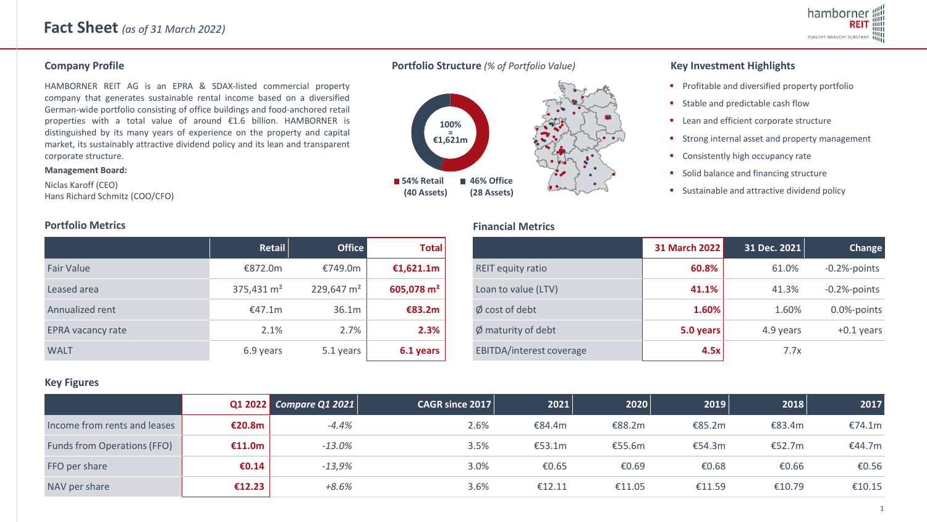HAMBORNER REIT AG is an EPRA & SDAX-listed commercial property company that generates sustainable rental income based on a diversified German-wide portfolio consisting of office buildings and food-anchored retail properties with a total value of around €1.6 billion. HAMBORNER is distinguished by its many years of experience on the property and capital market, its sustainably attractive dividend policy and its lean and transparent corporate structure.

#### **Management Board:**

Niclas Karoff (CEO) Hans Richard Schmitz (COO/CFO)



 **(28 Assets)**

**Financial Metrics**

 **(40 Assets)**

## **Company Profile Portfolio Structure** *(% of Portfolio Value)* **Key Investment Highlights**

- **•** Profitable and diversified property portfolio
- Stable and predictable cash flow
- Lean and efficient corporate structure
- Strong internal asset and property management
- Consistently high occupancy rate
- Solid balance and financing structure
- Sustainable and attractive dividend policy

|                          | Retail                 | <b>Office</b>          | <b>Total</b>           |
|--------------------------|------------------------|------------------------|------------------------|
| Fair Value               | €872.0m                | €749.0m                | €1,621.1m              |
| Leased area              | 375,431 m <sup>2</sup> | 229,647 m <sup>2</sup> | 605,078 m <sup>2</sup> |
| Annualized rent          | €47.1m                 | 36.1m                  | €83.2m                 |
| <b>EPRA vacancy rate</b> | 2.1%                   | 2.7%                   | 2.3%                   |
| <b>WALT</b>              | 6.9 years              | 5.1 years              | 6.1 years              |

|                                 | <b>31 March 2022</b> | 31 Dec. 2021 | Change          |
|---------------------------------|----------------------|--------------|-----------------|
| <b>REIT equity ratio</b>        | 60.8%                | 61.0%        | $-0.2%$ -points |
| Loan to value (LTV)             | 41.1%                | 41.3%        | $-0.2%$ -points |
| $\emptyset$ cost of debt        | 1.60%                | 1.60%        | 0.0%-points     |
| $\emptyset$ maturity of debt    | 5.0 years            | 4.9 years    | $+0.1$ years    |
| <b>EBITDA/interest coverage</b> | 4.5x                 | 7.7x         |                 |

### **Key Figures**

|                              |        | Q1 2022 Compare Q1 2021 | $ $ CAGR since 2017 | 2021   | 2020   | 2019   | 2018   | 2017   |
|------------------------------|--------|-------------------------|---------------------|--------|--------|--------|--------|--------|
| Income from rents and leases | €20.8m | $-4.4%$                 | 2.6%                | €84.4m | €88.2m | €85.2m | €83.4m | €74.1m |
| Funds from Operations (FFO)  | €11.0m | $-13.0%$                | 3.5%                | €53.1m | €55.6m | €54.3m | €52.7m | €44.7m |
| FFO per share                | €0.14  | $-13,9%$                | 3.0%                | €0.65  | €0.69  | €0.68  | €0.66  | €0.56  |
| NAV per share                | €12.23 | $+8.6%$                 | 3.6%                | €12.11 | €11.05 | €11.59 | €10.79 | €10.15 |

# **Portfolio Metrics**

#### 1